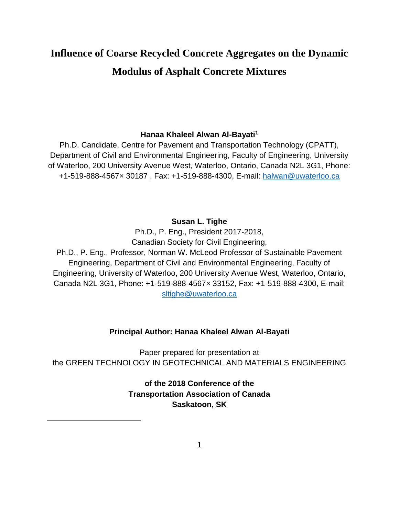# **Influence of Coarse Recycled Concrete Aggregates on the Dynamic Modulus of Asphalt Concrete Mixtures**

### **Hanaa Khaleel Alwan Al-Bayati<sup>1</sup>**

Ph.D. Candidate, Centre for Pavement and Transportation Technology (CPATT), Department of Civil and Environmental Engineering, Faculty of Engineering, University of Waterloo, 200 University Avenue West, Waterloo, Ontario, Canada N2L 3G1, Phone: +1-519-888-4567× 30187 , Fax: +1-519-888-4300, E-mail: [halwan@uwaterloo.ca](mailto:halwan@uwaterloo.ca)

#### **Susan L. Tighe**

Ph.D., P. Eng., President 2017-2018, Canadian Society for Civil Engineering,

Ph.D., P. Eng., Professor, Norman W. McLeod Professor of Sustainable Pavement Engineering, Department of Civil and Environmental Engineering, Faculty of Engineering, University of Waterloo, 200 University Avenue West, Waterloo, Ontario, Canada N2L 3G1, Phone: +1-519-888-4567× 33152, Fax: +1-519-888-4300, E-mail: [sltighe@uwaterloo.ca](mailto:sltighe@uwaterloo.ca)

### **Principal Author: Hanaa Khaleel Alwan Al-Bayati**

Paper prepared for presentation at the GREEN TECHNOLOGY IN GEOTECHNICAL AND MATERIALS ENGINEERING

> **of the 2018 Conference of the Transportation Association of Canada Saskatoon, SK**

 $\overline{\phantom{a}}$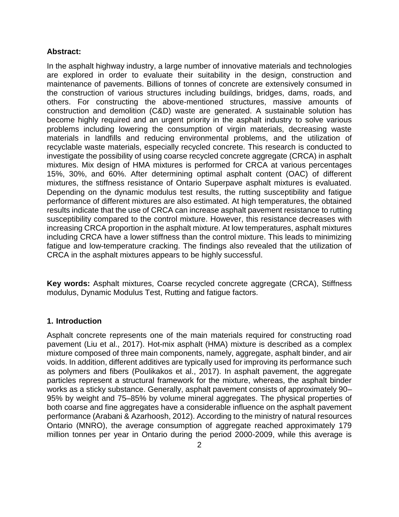### **Abstract:**

In the asphalt highway industry, a large number of innovative materials and technologies are explored in order to evaluate their suitability in the design, construction and maintenance of pavements. Billions of tonnes of concrete are extensively consumed in the construction of various structures including buildings, bridges, dams, roads, and others. For constructing the above-mentioned structures, massive amounts of construction and demolition (C&D) waste are generated. A sustainable solution has become highly required and an urgent priority in the asphalt industry to solve various problems including lowering the consumption of virgin materials, decreasing waste materials in landfills and reducing environmental problems, and the utilization of recyclable waste materials, especially recycled concrete. This research is conducted to investigate the possibility of using coarse recycled concrete aggregate (CRCA) in asphalt mixtures. Mix design of HMA mixtures is performed for CRCA at various percentages 15%, 30%, and 60%. After determining optimal asphalt content (OAC) of different mixtures, the stiffness resistance of Ontario Superpave asphalt mixtures is evaluated. Depending on the dynamic modulus test results, the rutting susceptibility and fatigue performance of different mixtures are also estimated. At high temperatures, the obtained results indicate that the use of CRCA can increase asphalt pavement resistance to rutting susceptibility compared to the control mixture. However, this resistance decreases with increasing CRCA proportion in the asphalt mixture. At low temperatures, asphalt mixtures including CRCA have a lower stiffness than the control mixture. This leads to minimizing fatigue and low-temperature cracking. The findings also revealed that the utilization of CRCA in the asphalt mixtures appears to be highly successful.

**Key words:** Asphalt mixtures, Coarse recycled concrete aggregate (CRCA), Stiffness modulus, Dynamic Modulus Test, Rutting and fatigue factors.

### **1. Introduction**

Asphalt concrete represents one of the main materials required for constructing road pavement (Liu et al., 2017). Hot-mix asphalt (HMA) mixture is described as a complex mixture composed of three main components, namely, aggregate, asphalt binder, and air voids. In addition, different additives are typically used for improving its performance such as polymers and fibers (Poulikakos et al., 2017). In asphalt pavement, the aggregate particles represent a structural framework for the mixture, whereas, the asphalt binder works as a sticky substance. Generally, asphalt pavement consists of approximately 90– 95% by weight and 75–85% by volume mineral aggregates. The physical properties of both coarse and fine aggregates have a considerable influence on the asphalt pavement performance (Arabani & Azarhoosh, 2012). According to the ministry of natural resources Ontario (MNRO), the average consumption of aggregate reached approximately 179 million tonnes per year in Ontario during the period 2000-2009, while this average is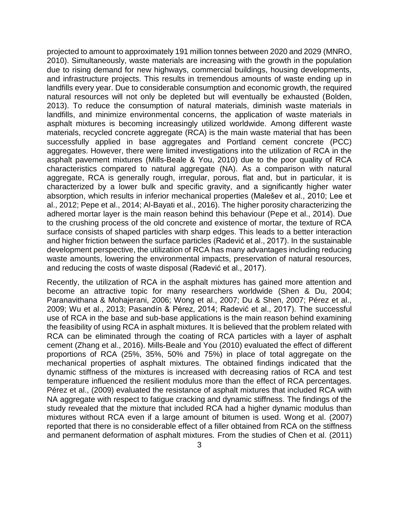projected to amount to approximately 191 million tonnes between 2020 and 2029 (MNRO, 2010). Simultaneously, waste materials are increasing with the growth in the population due to rising demand for new highways, commercial buildings, housing developments, and infrastructure projects. This results in tremendous amounts of waste ending up in landfills every year. Due to considerable consumption and economic growth, the required natural resources will not only be depleted but will eventually be exhausted (Bolden, 2013). To reduce the consumption of natural materials, diminish waste materials in landfills, and minimize environmental concerns, the application of waste materials in asphalt mixtures is becoming increasingly utilized worldwide. Among different waste materials, recycled concrete aggregate (RCA) is the main waste material that has been successfully applied in base aggregates and Portland cement concrete (PCC) aggregates. However, there were limited investigations into the utilization of RCA in the asphalt pavement mixtures (Mills-Beale & You, 2010) due to the poor quality of RCA characteristics compared to natural aggregate (NA). As a comparison with natural aggregate, RCA is generally rough, irregular, porous, flat and, but in particular, it is characterized by a lower bulk and specific gravity, and a significantly higher water absorption, which results in inferior mechanical properties (Malešev et al., 2010; Lee et al., 2012; Pepe et al., 2014; Al-Bayati et al., 2016). The higher porosity characterizing the adhered mortar layer is the main reason behind this behaviour (Pepe et al., 2014). Due to the crushing process of the old concrete and existence of mortar, the texture of RCA surface consists of shaped particles with sharp edges. This leads to a better interaction and higher friction between the surface particles (Radević et al., 2017). In the sustainable development perspective, the utilization of RCA has many advantages including reducing waste amounts, lowering the environmental impacts, preservation of natural resources, and reducing the costs of waste disposal (Radević et al., 2017).

Recently, the utilization of RCA in the asphalt mixtures has gained more attention and become an attractive topic for many researchers worldwide (Shen & Du, 2004; Paranavithana & Mohajerani, 2006; Wong et al., 2007; Du & Shen, 2007; Pérez et al., 2009; Wu et al., 2013; Pasandín & Pérez, 2014; Radević et al., 2017). The successful use of RCA in the base and sub-base applications is the main reason behind examining the feasibility of using RCA in asphalt mixtures. It is believed that the problem related with RCA can be eliminated through the coating of RCA particles with a layer of asphalt cement (Zhang et al., 2016). Mills-Beale and You (2010) evaluated the effect of different proportions of RCA (25%, 35%, 50% and 75%) in place of total aggregate on the mechanical properties of asphalt mixtures. The obtained findings indicated that the dynamic stiffness of the mixtures is increased with decreasing ratios of RCA and test temperature influenced the resilient modulus more than the effect of RCA percentages. Pérez et al., (2009) evaluated the resistance of asphalt mixtures that included RCA with NA aggregate with respect to fatigue cracking and dynamic stiffness. The findings of the study revealed that the mixture that included RCA had a higher dynamic modulus than mixtures without RCA even if a large amount of bitumen is used. Wong et al. (2007) reported that there is no considerable effect of a filler obtained from RCA on the stiffness and permanent deformation of asphalt mixtures. From the studies of Chen et al. (2011)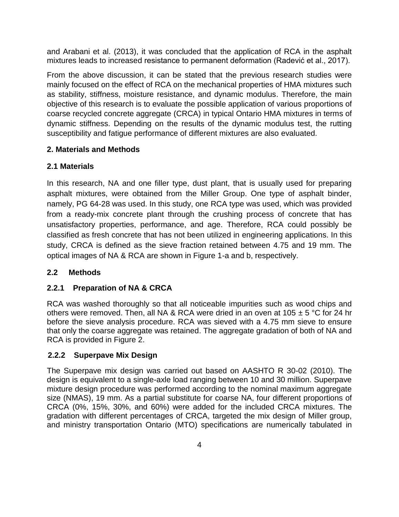and Arabani et al. (2013), it was concluded that the application of RCA in the asphalt mixtures leads to increased resistance to permanent deformation (Radević et al., 2017).

From the above discussion, it can be stated that the previous research studies were mainly focused on the effect of RCA on the mechanical properties of HMA mixtures such as stability, stiffness, moisture resistance, and dynamic modulus. Therefore, the main objective of this research is to evaluate the possible application of various proportions of coarse recycled concrete aggregate (CRCA) in typical Ontario HMA mixtures in terms of dynamic stiffness. Depending on the results of the dynamic modulus test, the rutting susceptibility and fatigue performance of different mixtures are also evaluated.

### **2. Materials and Methods**

# **2.1 Materials**

In this research, NA and one filler type, dust plant, that is usually used for preparing asphalt mixtures, were obtained from the Miller Group. One type of asphalt binder, namely, PG 64-28 was used. In this study, one RCA type was used, which was provided from a ready-mix concrete plant through the crushing process of concrete that has unsatisfactory properties, performance, and age. Therefore, RCA could possibly be classified as fresh concrete that has not been utilized in engineering applications. In this study, CRCA is defined as the sieve fraction retained between 4.75 and 19 mm. The optical images of NA & RCA are shown in Figure 1-a and b, respectively.

# **2.2 Methods**

# **2.2.1 Preparation of NA & CRCA**

RCA was washed thoroughly so that all noticeable impurities such as wood chips and others were removed. Then, all NA & RCA were dried in an oven at 105  $\pm$  5 °C for 24 hr before the sieve analysis procedure. RCA was sieved with a 4.75 mm sieve to ensure that only the coarse aggregate was retained. The aggregate gradation of both of NA and RCA is provided in Figure 2.

# **2.2.2 Superpave Mix Design**

The Superpave mix design was carried out based on AASHTO R 30-02 (2010). The design is equivalent to a single-axle load ranging between 10 and 30 million. Superpave mixture design procedure was performed according to the nominal maximum aggregate size (NMAS), 19 mm. As a partial substitute for coarse NA, four different proportions of CRCA (0%, 15%, 30%, and 60%) were added for the included CRCA mixtures. The gradation with different percentages of CRCA, targeted the mix design of Miller group, and ministry transportation Ontario (MTO) specifications are numerically tabulated in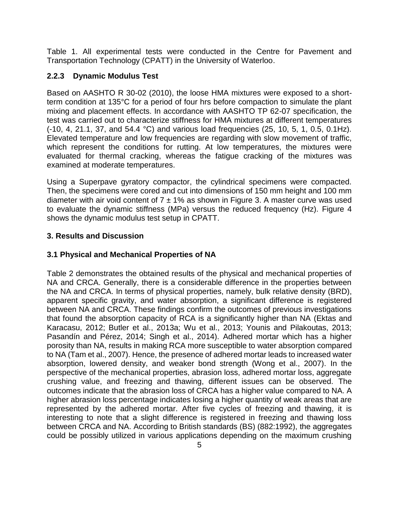Table 1. All experimental tests were conducted in the Centre for Pavement and Transportation Technology (CPATT) in the University of Waterloo.

## **2.2.3 Dynamic Modulus Test**

Based on AASHTO R 30-02 (2010), the loose HMA mixtures were exposed to a shortterm condition at 135°C for a period of four hrs before compaction to simulate the plant mixing and placement effects. In accordance with AASHTO TP 62-07 specification, the test was carried out to characterize stiffness for HMA mixtures at different temperatures (-10, 4, 21.1, 37, and 54.4 °C) and various load frequencies (25, 10, 5, 1, 0.5, 0.1Hz). Elevated temperature and low frequencies are regarding with slow movement of traffic, which represent the conditions for rutting. At low temperatures, the mixtures were evaluated for thermal cracking, whereas the fatigue cracking of the mixtures was examined at moderate temperatures.

Using a Superpave gyratory compactor, the cylindrical specimens were compacted. Then, the specimens were cored and cut into dimensions of 150 mm height and 100 mm diameter with air void content of  $7 \pm 1\%$  as shown in Figure 3. A master curve was used to evaluate the dynamic stiffness (MPa) versus the reduced frequency (Hz). Figure 4 shows the dynamic modulus test setup in CPATT.

### **3. Results and Discussion**

### **3.1 Physical and Mechanical Properties of NA**

Table 2 demonstrates the obtained results of the physical and mechanical properties of NA and CRCA. Generally, there is a considerable difference in the properties between the NA and CRCA. In terms of physical properties, namely, bulk relative density (BRD), apparent specific gravity, and water absorption, a significant difference is registered between NA and CRCA. These findings confirm the outcomes of previous investigations that found the absorption capacity of RCA is a significantly higher than NA (Ektas and Karacasu, 2012; Butler et al., 2013a; Wu et al., 2013; Younis and Pilakoutas, 2013; Pasandín and Pérez, 2014; Singh et al., 2014). Adhered mortar which has a higher porosity than NA, results in making RCA more susceptible to water absorption compared to NA (Tam et al., 2007). Hence, the presence of adhered mortar leads to increased water absorption, lowered density, and weaker bond strength (Wong et al., 2007). In the perspective of the mechanical properties, abrasion loss, adhered mortar loss, aggregate crushing value, and freezing and thawing, different issues can be observed. The outcomes indicate that the abrasion loss of CRCA has a higher value compared to NA. A higher abrasion loss percentage indicates losing a higher quantity of weak areas that are represented by the adhered mortar. After five cycles of freezing and thawing, it is interesting to note that a slight difference is registered in freezing and thawing loss between CRCA and NA. According to British standards (BS) (882:1992), the aggregates could be possibly utilized in various applications depending on the maximum crushing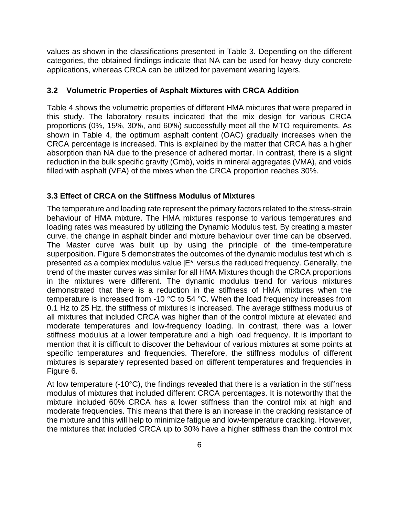values as shown in the classifications presented in Table 3. Depending on the different categories, the obtained findings indicate that NA can be used for heavy-duty concrete applications, whereas CRCA can be utilized for pavement wearing layers.

### **3.2 Volumetric Properties of Asphalt Mixtures with CRCA Addition**

Table 4 shows the volumetric properties of different HMA mixtures that were prepared in this study. The laboratory results indicated that the mix design for various CRCA proportions (0%, 15%, 30%, and 60%) successfully meet all the MTO requirements. As shown in Table 4, the optimum asphalt content (OAC) gradually increases when the CRCA percentage is increased. This is explained by the matter that CRCA has a higher absorption than NA due to the presence of adhered mortar. In contrast, there is a slight reduction in the bulk specific gravity (Gmb), voids in mineral aggregates (VMA), and voids filled with asphalt (VFA) of the mixes when the CRCA proportion reaches 30%.

### **3.3 Effect of CRCA on the Stiffness Modulus of Mixtures**

The temperature and loading rate represent the primary factors related to the stress-strain behaviour of HMA mixture. The HMA mixtures response to various temperatures and loading rates was measured by utilizing the Dynamic Modulus test. By creating a master curve, the change in asphalt binder and mixture behaviour over time can be observed. The Master curve was built up by using the principle of the time-temperature superposition. Figure 5 demonstrates the outcomes of the dynamic modulus test which is presented as a complex modulus value |E\*| versus the reduced frequency. Generally, the trend of the master curves was similar for all HMA Mixtures though the CRCA proportions in the mixtures were different. The dynamic modulus trend for various mixtures demonstrated that there is a reduction in the stiffness of HMA mixtures when the temperature is increased from -10 °C to 54 °C. When the load frequency increases from 0.1 Hz to 25 Hz, the stiffness of mixtures is increased. The average stiffness modulus of all mixtures that included CRCA was higher than of the control mixture at elevated and moderate temperatures and low-frequency loading. In contrast, there was a lower stiffness modulus at a lower temperature and a high load frequency. It is important to mention that it is difficult to discover the behaviour of various mixtures at some points at specific temperatures and frequencies. Therefore, the stiffness modulus of different mixtures is separately represented based on different temperatures and frequencies in Figure 6.

At low temperature (-10°C), the findings revealed that there is a variation in the stiffness modulus of mixtures that included different CRCA percentages. It is noteworthy that the mixture included 60% CRCA has a lower stiffness than the control mix at high and moderate frequencies. This means that there is an increase in the cracking resistance of the mixture and this will help to minimize fatigue and low-temperature cracking. However, the mixtures that included CRCA up to 30% have a higher stiffness than the control mix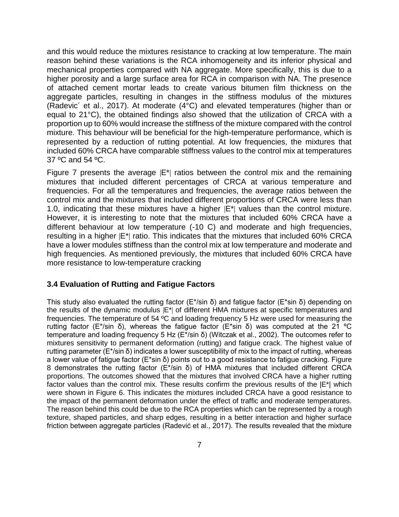and this would reduce the mixtures resistance to cracking at low temperature. The main reason behind these variations is the RCA inhomogeneity and its inferior physical and mechanical properties compared with NA aggregate. More specifically, this is due to a higher porosity and a large surface area for RCA in comparison with NA. The presence of attached cement mortar leads to create various bitumen film thickness on the aggregate particles, resulting in changes in the stiffness modulus of the mixtures (Radevic´ et al., 2017). At moderate (4°C) and elevated temperatures (higher than or equal to 21°C), the obtained findings also showed that the utilization of CRCA with a proportion up to 60% would increase the stiffness of the mixture compared with the control mixture. This behaviour will be beneficial for the high-temperature performance, which is represented by a reduction of rutting potential. At low frequencies, the mixtures that included 60% CRCA have comparable stiffness values to the control mix at temperatures 37 ºC and 54 ºC.

Figure 7 presents the average  $|E^*|$  ratios between the control mix and the remaining mixtures that included different percentages of CRCA at various temperature and frequencies. For all the temperatures and frequencies, the average ratios between the control mix and the mixtures that included different proportions of CRCA were less than 1.0, indicating that these mixtures have a higher  $|E^*|$  values than the control mixture. However, it is interesting to note that the mixtures that included 60% CRCA have a different behaviour at low temperature (-10 C) and moderate and high frequencies, resulting in a higher |E\*| ratio. This indicates that the mixtures that included 60% CRCA have a lower modules stiffness than the control mix at low temperature and moderate and high frequencies. As mentioned previously, the mixtures that included 60% CRCA have more resistance to low-temperature cracking

### **3.4 Evaluation of Rutting and Fatigue Factors**

This study also evaluated the rutting factor ( $E^*$ /sin δ) and fatigue factor ( $E^*$ sin δ) depending on the results of the dynamic modulus |E\*| of different HMA mixtures at specific temperatures and frequencies. The temperature of 54 ºC and loading frequency 5 Hz were used for measuring the rutting factor (E<sup>\*</sup>/sin δ), whereas the fatigue factor (E<sup>\*</sup>sin δ) was computed at the 21 °C temperature and loading frequency 5 Hz (E\*/sin δ) (Witczak et al., 2002). The outcomes refer to mixtures sensitivity to permanent deformation (rutting) and fatigue crack. The highest value of rutting parameter (E\*/sin δ) indicates a lower susceptibility of mix to the impact of rutting, whereas a lower value of fatigue factor (E\*sin δ) points out to a good resistance to fatigue cracking. Figure 8 demonstrates the rutting factor (E\*/sin δ) of HMA mixtures that included different CRCA proportions. The outcomes showed that the mixtures that involved CRCA have a higher rutting factor values than the control mix. These results confirm the previous results of the  $|E^*|$  which were shown in Figure 6. This indicates the mixtures included CRCA have a good resistance to the impact of the permanent deformation under the effect of traffic and moderate temperatures. The reason behind this could be due to the RCA properties which can be represented by a rough texture, shaped particles, and sharp edges, resulting in a better interaction and higher surface friction between aggregate particles (Radević et al., 2017). The results revealed that the mixture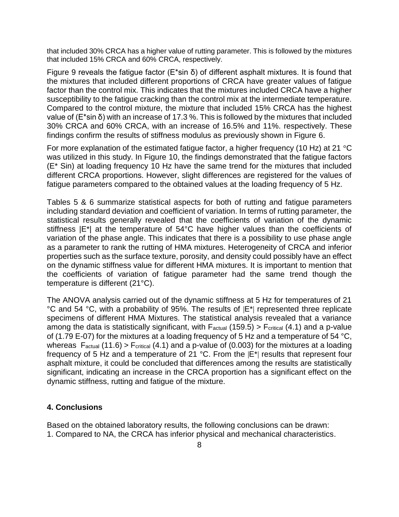that included 30% CRCA has a higher value of rutting parameter. This is followed by the mixtures that included 15% CRCA and 60% CRCA, respectively.

Figure 9 reveals the fatigue factor ( $E^*$ sin δ) of different asphalt mixtures. It is found that the mixtures that included different proportions of CRCA have greater values of fatigue factor than the control mix. This indicates that the mixtures included CRCA have a higher susceptibility to the fatigue cracking than the control mix at the intermediate temperature. Compared to the control mixture, the mixture that included 15% CRCA has the highest value of (E\*sin δ) with an increase of 17.3 %. This is followed by the mixtures that included 30% CRCA and 60% CRCA, with an increase of 16.5% and 11%. respectively. These findings confirm the results of stiffness modulus as previously shown in Figure 6.

For more explanation of the estimated fatigue factor, a higher frequency (10 Hz) at 21 °C was utilized in this study. In Figure 10, the findings demonstrated that the fatigue factors (E\* Sin) at loading frequency 10 Hz have the same trend for the mixtures that included different CRCA proportions. However, slight differences are registered for the values of fatigue parameters compared to the obtained values at the loading frequency of 5 Hz.

Tables 5 & 6 summarize statistical aspects for both of rutting and fatigue parameters including standard deviation and coefficient of variation. In terms of rutting parameter, the statistical results generally revealed that the coefficients of variation of the dynamic stiffness |E\*| at the temperature of 54°C have higher values than the coefficients of variation of the phase angle. This indicates that there is a possibility to use phase angle as a parameter to rank the rutting of HMA mixtures. Heterogeneity of CRCA and inferior properties such as the surface texture, porosity, and density could possibly have an effect on the dynamic stiffness value for different HMA mixtures. It is important to mention that the coefficients of variation of fatigue parameter had the same trend though the temperature is different (21°C).

The ANOVA analysis carried out of the dynamic stiffness at 5 Hz for temperatures of 21 °C and 54 °C, with a probability of 95%. The results of  $|E^*|$  represented three replicate specimens of different HMA Mixtures. The statistical analysis revealed that a variance among the data is statistically significant, with  $F_{actual}$  (159.5) >  $F_{critical}$  (4.1) and a p-value of (1.79 E-07) for the mixtures at a loading frequency of 5 Hz and a temperature of 54 °C, whereas  $F_{actual}$  (11.6) >  $F_{critical}$  (4.1) and a p-value of (0.003) for the mixtures at a loading frequency of 5 Hz and a temperature of 21  $^{\circ}$ C. From the  $|E^*|$  results that represent four asphalt mixture, it could be concluded that differences among the results are statistically significant, indicating an increase in the CRCA proportion has a significant effect on the dynamic stiffness, rutting and fatigue of the mixture.

### **4. Conclusions**

Based on the obtained laboratory results, the following conclusions can be drawn: 1. Compared to NA, the CRCA has inferior physical and mechanical characteristics.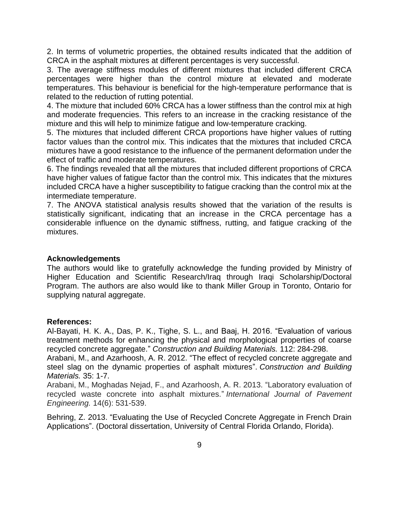2. In terms of volumetric properties, the obtained results indicated that the addition of CRCA in the asphalt mixtures at different percentages is very successful.

3. The average stiffness modules of different mixtures that included different CRCA percentages were higher than the control mixture at elevated and moderate temperatures. This behaviour is beneficial for the high-temperature performance that is related to the reduction of rutting potential.

4. The mixture that included 60% CRCA has a lower stiffness than the control mix at high and moderate frequencies. This refers to an increase in the cracking resistance of the mixture and this will help to minimize fatigue and low-temperature cracking.

5. The mixtures that included different CRCA proportions have higher values of rutting factor values than the control mix. This indicates that the mixtures that included CRCA mixtures have a good resistance to the influence of the permanent deformation under the effect of traffic and moderate temperatures.

6. The findings revealed that all the mixtures that included different proportions of CRCA have higher values of fatigue factor than the control mix. This indicates that the mixtures included CRCA have a higher susceptibility to fatigue cracking than the control mix at the intermediate temperature.

7. The ANOVA statistical analysis results showed that the variation of the results is statistically significant, indicating that an increase in the CRCA percentage has a considerable influence on the dynamic stiffness, rutting, and fatigue cracking of the mixtures.

### **Acknowledgements**

The authors would like to gratefully acknowledge the funding provided by Ministry of Higher Education and Scientific Research/Iraq through Iraqi Scholarship/Doctoral Program. The authors are also would like to thank Miller Group in Toronto, Ontario for supplying natural aggregate.

### **References:**

Al-Bayati, H. K. A., Das, P. K., Tighe, S. L., and Baaj, H. 2016. "Evaluation of various treatment methods for enhancing the physical and morphological properties of coarse recycled concrete aggregate." *Construction and Building Materials.* 112: 284-298.

Arabani, M., and Azarhoosh, A. R. 2012. "The effect of recycled concrete aggregate and steel slag on the dynamic properties of asphalt mixtures". *Construction and Building Materials.* 35: 1-7.

Arabani, M., Moghadas Nejad, F., and Azarhoosh, A. R. 2013. "Laboratory evaluation of recycled waste concrete into asphalt mixtures." *International Journal of Pavement Engineering.* 14(6): 531-539.

Behring, Z. 2013. "Evaluating the Use of Recycled Concrete Aggregate in French Drain Applications". (Doctoral dissertation, University of Central Florida Orlando, Florida).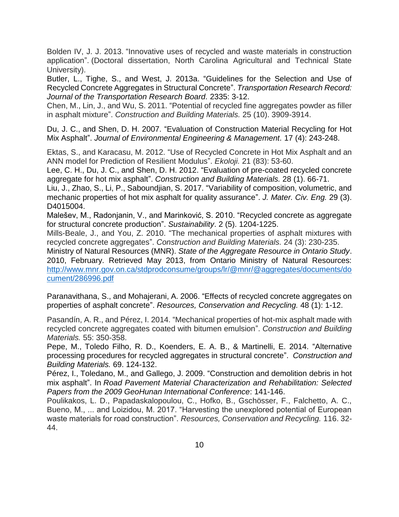Bolden IV, J. J. 2013. "Innovative uses of recycled and waste materials in construction application". (Doctoral dissertation, North Carolina Agricultural and Technical State University).

Butler, L., Tighe, S., and West, J. 2013a. "Guidelines for the Selection and Use of Recycled Concrete Aggregates in Structural Concrete". *Transportation Research Record: Journal of the Transportation Research Board.* 2335: 3-12.

Chen, M., Lin, J., and Wu, S. 2011. "Potential of recycled fine aggregates powder as filler in asphalt mixture". *Construction and Building Materials.* 25 (10). 3909-3914.

Du, J. C., and Shen, D. H. 2007. "Evaluation of Construction Material Recycling for Hot Mix Asphalt". *Journal of Environmental Engineering & Management.* 17 (4): 243-248.

Ektas, S., and Karacasu, M. 2012. "Use of Recycled Concrete in Hot Mix Asphalt and an ANN model for Prediction of Resilient Modulus". *Ekoloji.* 21 (83): 53-60.

Lee, C. H., Du, J. C., and Shen, D. H. 2012. "Evaluation of pre-coated recycled concrete aggregate for hot mix asphalt". *Construction and Building Materials.* 28 (1). 66-71.

Liu, J., Zhao, S., Li, P., Saboundjian, S. 2017. "Variability of composition, volumetric, and mechanic properties of hot mix asphalt for quality assurance". *J. Mater. Civ. Eng.* 29 (3). D4015004.

Malešev, M., Radonjanin, V., and Marinković, S. 2010. "Recycled concrete as aggregate for structural concrete production". *Sustainability*. 2 (5). 1204-1225.

Mills-Beale, J., and You, Z. 2010. "The mechanical properties of asphalt mixtures with recycled concrete aggregates". *Construction and Building Materials.* 24 (3): 230-235.

Ministry of Natural Resources (MNR). *State of the Aggregate Resource in Ontario Study*. 2010, February. Retrieved May 2013, from Ontario Ministry of Natural Resources: [http://www.mnr.gov.on.ca/stdprodconsume/groups/lr/@mnr/@aggregates/documents/do](http://www.mnr.gov.on.ca/stdprodconsume/groups/lr/@mnr/@aggregates/documents/document/286996.pdf) [cument/286996.pdf](http://www.mnr.gov.on.ca/stdprodconsume/groups/lr/@mnr/@aggregates/documents/document/286996.pdf)

Paranavithana, S., and Mohajerani, A. 2006. "Effects of recycled concrete aggregates on properties of asphalt concrete". *Resources, Conservation and Recycling.* 48 (1): 1-12.

Pasandín, A. R., and Pérez, I. 2014. "Mechanical properties of hot-mix asphalt made with recycled concrete aggregates coated with bitumen emulsion". *Construction and Building Materials.* 55: 350-358.

Pepe, M., Toledo Filho, R. D., Koenders, E. A. B., & Martinelli, E. 2014. "Alternative processing procedures for recycled aggregates in structural concrete". *Construction and Building Materials.* 69. 124-132.

Pérez, I., Toledano, M., and Gallego, J. 2009. "Construction and demolition debris in hot mix asphalt". In *Road Pavement Material Characterization and Rehabilitation: Selected Papers from the 2009 GeoHunan International Conference*: 141-146.

Poulikakos, L. D., Papadaskalopoulou, C., Hofko, B., Gschösser, F., Falchetto, A. C., Bueno, M., ... and Loizidou, M. 2017. "Harvesting the unexplored potential of European waste materials for road construction". *Resources, Conservation and Recycling.* 116. 32- 44.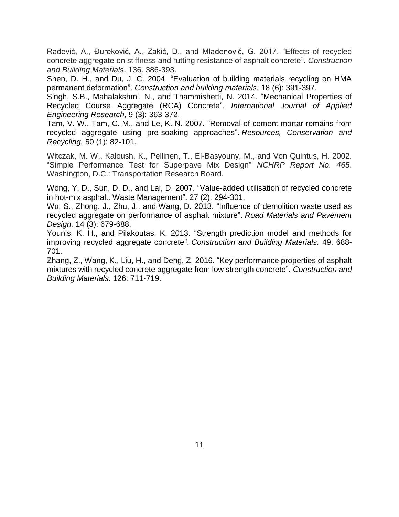Radević, A., Đureković, A., Zakić, D., and Mladenović, G. 2017. "Effects of recycled concrete aggregate on stiffness and rutting resistance of asphalt concrete". *Construction and Building Materials*. 136. 386-393.

Shen, D. H., and Du, J. C. 2004. "Evaluation of building materials recycling on HMA permanent deformation". *Construction and building materials.* 18 (6): 391-397.

Singh, S.B., Mahalakshmi, N., and Thammishetti, N. 2014. "Mechanical Properties of Recycled Course Aggregate (RCA) Concrete". *International Journal of Applied Engineering Research*, 9 (3): 363-372.

Tam, V. W., Tam, C. M., and Le, K. N. 2007. "Removal of cement mortar remains from recycled aggregate using pre-soaking approaches". *Resources, Conservation and Recycling.* 50 (1): 82-101.

Witczak, M. W., Kaloush, K., Pellinen, T., El-Basyouny, M., and Von Quintus, H. 2002. "Simple Performance Test for Superpave Mix Design" *NCHRP Report No. 465*. Washington, D.C.: Transportation Research Board.

Wong, Y. D., Sun, D. D., and Lai, D. 2007. "Value-added utilisation of recycled concrete in hot-mix asphalt. Waste Management". 27 (2): 294-301.

Wu, S., Zhong, J., Zhu, J., and Wang, D. 2013. "Influence of demolition waste used as recycled aggregate on performance of asphalt mixture". *Road Materials and Pavement Design.* 14 (3): 679-688.

Younis, K. H., and Pilakoutas, K. 2013. "Strength prediction model and methods for improving recycled aggregate concrete". *Construction and Building Materials.* 49: 688- 701.

Zhang, Z., Wang, K., Liu, H., and Deng, Z. 2016. "Key performance properties of asphalt mixtures with recycled concrete aggregate from low strength concrete". *Construction and Building Materials.* 126: 711-719.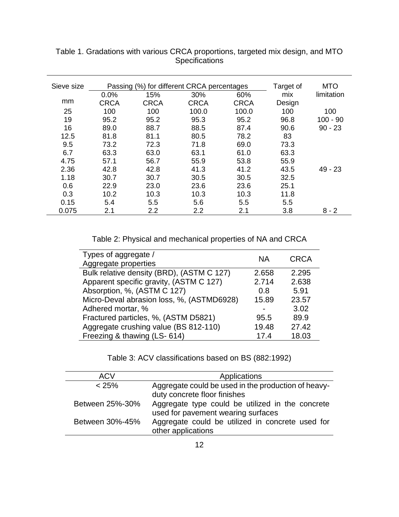| Sieve size |             | Passing (%) for different CRCA percentages | Target of   | <b>MTO</b>  |        |            |
|------------|-------------|--------------------------------------------|-------------|-------------|--------|------------|
|            | 0.0%        | 15%                                        | 30%         | 60%         | mix    | limitation |
| mm         | <b>CRCA</b> | <b>CRCA</b>                                | <b>CRCA</b> | <b>CRCA</b> | Design |            |
| 25         | 100         | 100                                        | 100.0       | 100.0       | 100    | 100        |
| 19         | 95.2        | 95.2                                       | 95.3        | 95.2        | 96.8   | $100 - 90$ |
| 16         | 89.0        | 88.7                                       | 88.5        | 87.4        | 90.6   | $90 - 23$  |
| 12.5       | 81.8        | 81.1                                       | 80.5        | 78.2        | 83     |            |
| 9.5        | 73.2        | 72.3                                       | 71.8        | 69.0        | 73.3   |            |
| 6.7        | 63.3        | 63.0                                       | 63.1        | 61.0        | 63.3   |            |
| 4.75       | 57.1        | 56.7                                       | 55.9        | 53.8        | 55.9   |            |
| 2.36       | 42.8        | 42.8                                       | 41.3        | 41.2        | 43.5   | $49 - 23$  |
| 1.18       | 30.7        | 30.7                                       | 30.5        | 30.5        | 32.5   |            |
| 0.6        | 22.9        | 23.0                                       | 23.6        | 23.6        | 25.1   |            |
| 0.3        | 10.2        | 10.3                                       | 10.3        | 10.3        | 11.8   |            |
| 0.15       | 5.4         | 5.5                                        | 5.6         | 5.5         | 5.5    |            |
| 0.075      | 2.1         | 2.2                                        | 2.2         | 2.1         | 3.8    | $8 - 2$    |

Table 1. Gradations with various CRCA proportions, targeted mix design, and MTO **Specifications** 

Table 2: Physical and mechanical properties of NA and CRCA

| Types of aggregate /<br>Aggregate properties | <b>NA</b> | <b>CRCA</b> |
|----------------------------------------------|-----------|-------------|
|                                              |           |             |
| Bulk relative density (BRD), (ASTM C 127)    | 2.658     | 2.295       |
| Apparent specific gravity, (ASTM C 127)      | 2.714     | 2.638       |
| Absorption, %, (ASTM C 127)                  | 0.8       | 5.91        |
| Micro-Deval abrasion loss, %, (ASTMD6928)    | 15.89     | 23.57       |
| Adhered mortar, %                            |           | 3.02        |
| Fractured particles, %, (ASTM D5821)         | 95.5      | 89.9        |
| Aggregate crushing value (BS 812-110)        | 19.48     | 27.42       |
| Freezing & thawing (LS-614)                  | 17.4      | 18.03       |

Table 3: ACV classifications based on BS (882:1992)

| <b>ACV</b>      | Applications                                                                           |
|-----------------|----------------------------------------------------------------------------------------|
| < 25%           | Aggregate could be used in the production of heavy-<br>duty concrete floor finishes    |
| Between 25%-30% | Aggregate type could be utilized in the concrete<br>used for pavement wearing surfaces |
| Between 30%-45% | Aggregate could be utilized in concrete used for<br>other applications                 |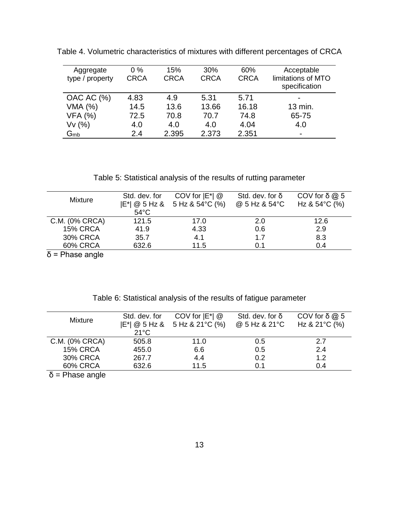| Aggregate<br>type / property | $0\%$<br><b>CRCA</b> | 15%<br><b>CRCA</b> | 30%<br><b>CRCA</b> | 60%<br><b>CRCA</b> | Acceptable<br>limitations of MTO<br>specification |
|------------------------------|----------------------|--------------------|--------------------|--------------------|---------------------------------------------------|
| OAC AC (%)                   | 4.83                 | 4.9                | 5.31               | 5.71               | $\blacksquare$                                    |
| VMA (%)                      | 14.5                 | 13.6               | 13.66              | 16.18              | 13 min.                                           |
| <b>VFA (%)</b>               | 72.5                 | 70.8               | 70.7               | 74.8               | 65-75                                             |
| Vv(%)                        | 4.0                  | 4.0                | 4.0                | 4.04               | 4.0                                               |
| $G_{mb}$                     | 2.4                  | 2.395              | 2.373              | 2.351              | ۰                                                 |

Table 4. Volumetric characteristics of mixtures with different percentages of CRCA

Table 5: Statistical analysis of the results of rutting parameter

| <b>Mixture</b>                    | Std. dev. for<br>$54^{\circ}$ C | COV for $ E^* $ @<br>$ E^* $ @ 5 Hz & 5 Hz & 54 °C (%) | Std. dev. for $\delta$<br>@ 5 Hz & 54°C | COV for $\delta \omega$ 5<br>Hz & $54^{\circ}$ C (%) |
|-----------------------------------|---------------------------------|--------------------------------------------------------|-----------------------------------------|------------------------------------------------------|
| C.M. (0% CRCA)                    | 121.5                           | 17.0                                                   | 2.0                                     | 12.6                                                 |
| <b>15% CRCA</b>                   | 41.9                            | 4.33                                                   | 0.6                                     | 2.9                                                  |
| <b>30% CRCA</b>                   | 35.7                            | 4.1                                                    | 1.7                                     | 8.3                                                  |
| 60% CRCA                          | 632.6                           | 11.5                                                   | 0.1                                     | 0.4                                                  |
| $\Sigma$ Distribution of $\Sigma$ |                                 |                                                        |                                         |                                                      |

δ = Phase angle

| Table 6: Statistical analysis of the results of fatigue parameter |  |  |  |  |  |  |  |  |  |
|-------------------------------------------------------------------|--|--|--|--|--|--|--|--|--|
|-------------------------------------------------------------------|--|--|--|--|--|--|--|--|--|

| <b>Mixture</b>  | Std. dev. for  | COV for $ E^* $ @<br>$ E^*  \otimes 5$ Hz & 5 Hz & 21 °C (%) | Std. dev. for $\delta$<br>@ 5 Hz & 21°C | COV for $\delta \omega$ 5<br>Hz & $21^{\circ}$ C (%) |
|-----------------|----------------|--------------------------------------------------------------|-----------------------------------------|------------------------------------------------------|
|                 | $21^{\circ}$ C |                                                              |                                         |                                                      |
| C.M. (0% CRCA)  | 505.8          | 11.0                                                         | 0.5                                     | 2.7                                                  |
| <b>15% CRCA</b> | 455.0          | 6.6                                                          | 0.5                                     | 2.4                                                  |
| <b>30% CRCA</b> | 267.7          | 4.4                                                          | 0.2                                     | 1.2                                                  |
| <b>60% CRCA</b> | 632.6          | 11.5                                                         | 0.1                                     | 0.4                                                  |
| <b>PH PH</b>    |                |                                                              |                                         |                                                      |

 $δ = Phase angle$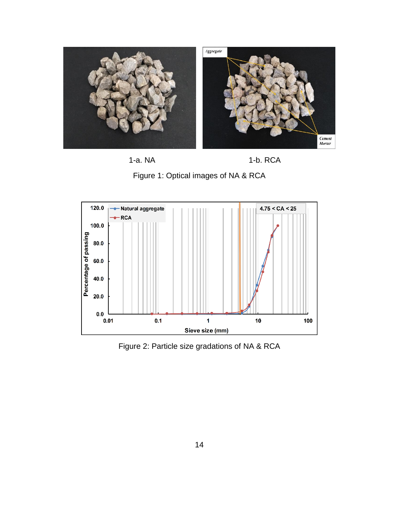









Figure 2: Particle size gradations of NA & RCA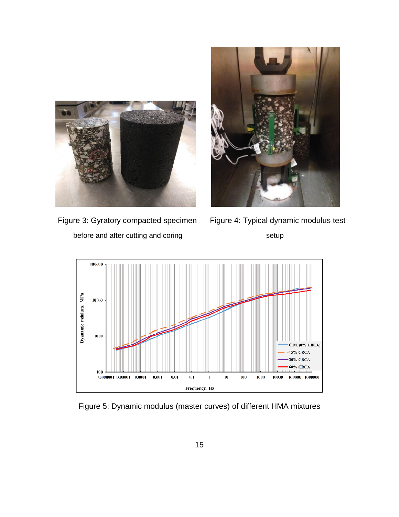

before and after cutting and coring setup setup



Figure 3: Gyratory compacted specimen Figure 4: Typical dynamic modulus test



Figure 5: Dynamic modulus (master curves) of different HMA mixtures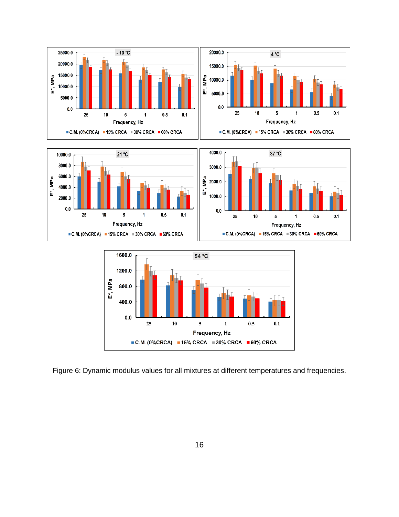

Figure 6: Dynamic modulus values for all mixtures at different temperatures and frequencies.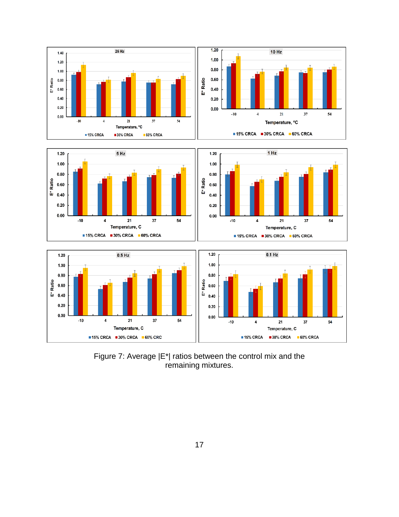

Figure 7: Average |E\*| ratios between the control mix and the remaining mixtures.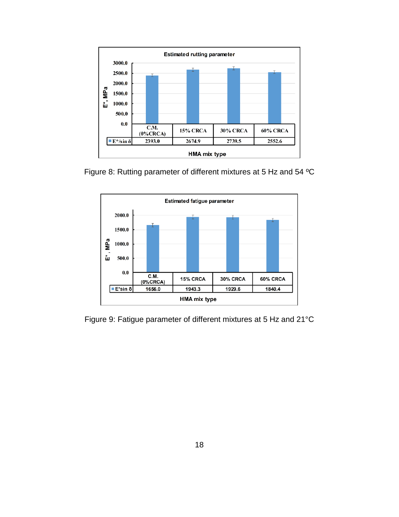

Figure 8: Rutting parameter of different mixtures at 5 Hz and 54 ºC



Figure 9: Fatigue parameter of different mixtures at 5 Hz and 21°C